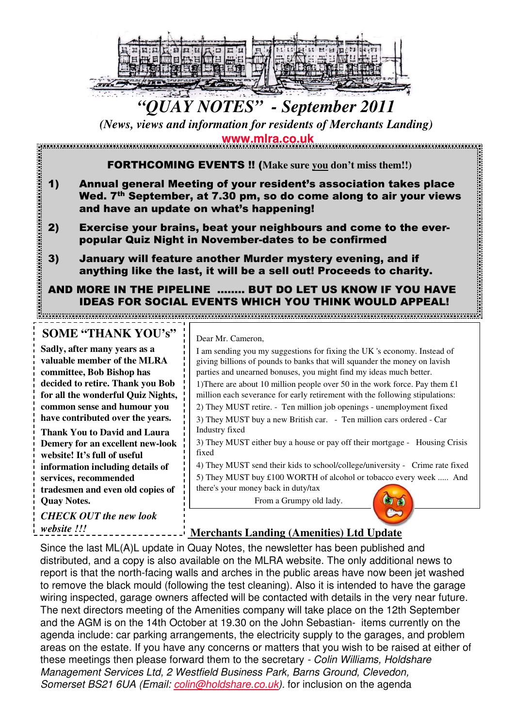

# *"QUAY NOTES" - September 2011*

*(News, views and information for residents of Merchants Landing)*

**www.mlra.co.uk**

FORTHCOMING EVENTS !! (**Make sure you don't miss them!!)**

- 1) Annual general Meeting of your resident's association takes place Wed. 7<sup>th</sup> September, at 7.30 pm, so do come along to air your views and have an update on what's happening!
- 2) Exercise your brains, beat your neighbours and come to the everpopular Quiz Night in November-dates to be confirmed
- 3) January will feature another Murder mystery evening, and if anything like the last, it will be a sell out! Proceeds to charity.

## AND MORE IN THE PIPELINE …….. BUT DO LET US KNOW IF YOU HAVE IDEAS FOR SOCIAL EVENTS WHICH YOU THINK WOULD APPEAL!

# **SOME "THANK YOU's"**

**Sadly, after many years as a valuable member of the MLRA committee, Bob Bishop has decided to retire. Thank you Bob for all the wonderful Quiz Nights, common sense and humour you have contributed over the years.**

**Thank You to David and Laura Demery for an excellent new-look website! It's full of useful information including details of services, recommended tradesmen and even old copies of Quay Notes.** 

*CHECK OUT the new look website !!!*

#### Dear Mr. Cameron,

I am sending you my suggestions for fixing the UK 's economy. Instead of giving billions of pounds to banks that will squander the money on lavish parties and unearned bonuses, you might find my ideas much better. 1)There are about 10 million people over 50 in the work force. Pay them  $£1$ million each severance for early retirement with the following stipulations: 2) They MUST retire. - Ten million job openings - unemployment fixed 3) They MUST buy a new British car. - Ten million cars ordered - Car Industry fixed 3) They MUST either buy a house or pay off their mortgage - Housing Crisis fixed 4) They MUST send their kids to school/college/university - Crime rate fixed 5) They MUST buy £100 WORTH of alcohol or tobacco every week ..... And there's your money back in duty/tax From a Grumpy old lady.by et

### **Merchants Landing (Amenities) Ltd Update**

Since the last ML(A)L update in Quay Notes, the newsletter has been published and distributed, and a copy is also available on the MLRA website. The only additional news to report is that the north-facing walls and arches in the public areas have now been jet washed to remove the black mould (following the test cleaning). Also it is intended to have the garage wiring inspected, garage owners affected will be contacted with details in the very near future. The next directors meeting of the Amenities company will take place on the 12th September and the AGM is on the 14th October at 19.30 on the John Sebastian- items currently on the agenda include: car parking arrangements, the electricity supply to the garages, and problem areas on the estate. If you have any concerns or matters that you wish to be raised at either of these meetings then please forward them to the secretary - Colin Williams, Holdshare Management Services Ltd, 2 Westfield Business Park, Barns Ground, Clevedon, Somerset BS21 6UA (Email: *colin@holdshare.co.uk*). for inclusion on the agenda